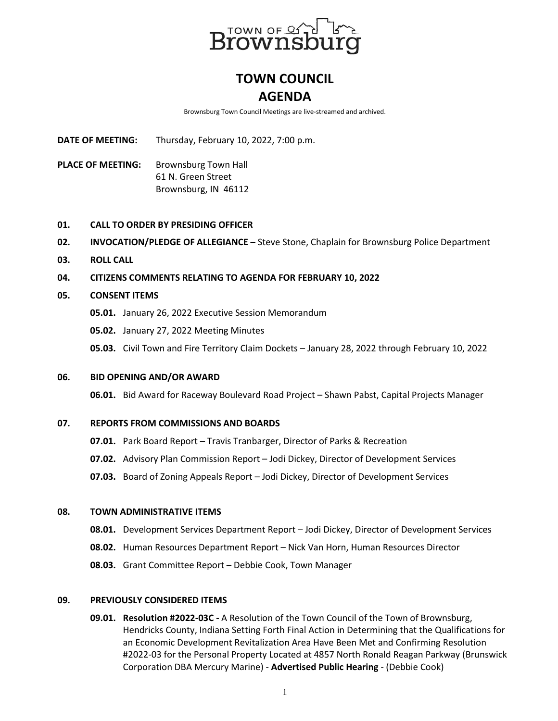

# **TOWN COUNCIL AGENDA**

Brownsburg Town Council Meetings are live-streamed and archived.

**DATE OF MEETING:** Thursday, February 10, 2022, 7:00 p.m.

**PLACE OF MEETING:** Brownsburg Town Hall 61 N. Green Street Brownsburg, IN 46112

- **01. CALL TO ORDER BY PRESIDING OFFICER**
- **02. INVOCATION/PLEDGE OF ALLEGIANCE –** Steve Stone, Chaplain for Brownsburg Police Department
- **03. ROLL CALL**
- **04. CITIZENS COMMENTS RELATING TO AGENDA FOR FEBRUARY 10, 2022**
- **05. CONSENT ITEMS**
	- **05.01.** January 26, 2022 Executive Session Memorandum
	- **05.02.** January 27, 2022 Meeting Minutes
	- **05.03.** Civil Town and Fire Territory Claim Dockets January 28, 2022 through February 10, 2022

### **06. BID OPENING AND/OR AWARD**

**06.01.** Bid Award for Raceway Boulevard Road Project – Shawn Pabst, Capital Projects Manager

### **07. REPORTS FROM COMMISSIONS AND BOARDS**

- **07.01.** Park Board Report Travis Tranbarger, Director of Parks & Recreation
- **07.02.** Advisory Plan Commission Report Jodi Dickey, Director of Development Services
- **07.03.** Board of Zoning Appeals Report Jodi Dickey, Director of Development Services

### **08. TOWN ADMINISTRATIVE ITEMS**

- **08.01.** Development Services Department Report Jodi Dickey, Director of Development Services
- **08.02.** Human Resources Department Report Nick Van Horn, Human Resources Director
- **08.03.** Grant Committee Report Debbie Cook, Town Manager

## **09. PREVIOUSLY CONSIDERED ITEMS**

**09.01. Resolution #2022-03C -** A Resolution of the Town Council of the Town of Brownsburg, Hendricks County, Indiana Setting Forth Final Action in Determining that the Qualifications for an Economic Development Revitalization Area Have Been Met and Confirming Resolution #2022-03 for the Personal Property Located at 4857 North Ronald Reagan Parkway (Brunswick Corporation DBA Mercury Marine) - **Advertised Public Hearing** - (Debbie Cook)